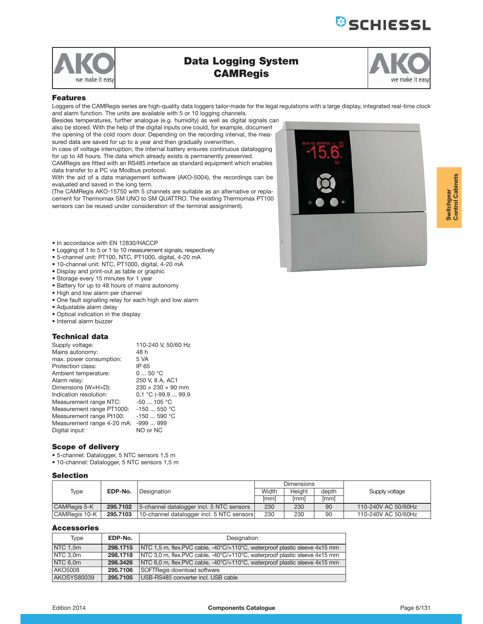



# **Data Logging System CAMRegis**

| we make it easy |  |
|-----------------|--|

### $F$  *<u>A</u>*</u>

Loggers of the CAMRegis series are high-quality data loggers tailor-made for the legal regulations with a large display, integrated real-time clock and alarm function. The units are available with 5 or 10 logging channels.

Besides temperatures, further analogue (e.g. humidity) as well as digital signals can also be stored. With the help of the digital inputs one could, for example, document the opening of the cold room door. Depending on the recording interval, the measured data are saved for up to a year and then gradually overwritten.

In case of voltage interruption, the internal battery ensures continuous datalogging for up to 48 hours. The data which already exists is permanently preserved. CAMRegis are fitted with an RS485 interface as standard equipment which enables

data transfer to a PC via Modbus protocol. With the aid of a data management software (AKO-5004), the recordings can be

evaluated and saved in the long term. (The CAMRegis AKO-15750 with 5 channels are suitable as an alternative or repla-

cement for Thermomax SM UNO to SM QUATTRO. The existing Thermomax PT100 sensors can be reused under consideration of the terminal assignment).



- In accordance with EN 12830/HACCP
- Logging of 1 to 5 or 1 to 10 measurement signals, respectively
- 5-channel unit: PT100, NTC, PT1000, digital, 4-20 mA
- 10-channel unit: NTC, PT1000, digital, 4-20 mA
- Display and print-out as table or graphic
- Storage every 15 minutes for 1 year
- Battery for up to 48 hours of mains autonomy
- High and low alarm per channel
- One fault signalling relay for each high and low alarm
- Adjustable alarm delay
- Optical indication in the display
- Internal alarm buzzer

### **Technical data**

| Supply voltage:            | 110-240 V. 50/60 Hz           |
|----------------------------|-------------------------------|
| Mains autonomy:            | 48 h                          |
| max. power consumption:    | 5 VA                          |
| Protection class:          | IP 65                         |
| Ambient temperature:       | 050 °C                        |
| Alarm relay:               | 250 V, 8 A, AC1               |
| Dimensions (WxHxD):        | $230 \times 230 \times 90$ mm |
| Indication resolution:     | $0.1 °C$ (-99.9  99.9         |
| Measurement range NTC:     | $-50$ 105 °C                  |
| Measurement range PT1000:  | $-150550$ °C                  |
| Measurement range Pt100:   | $-150590 °C$                  |
| Measurement range 4-20 mA: | $-999999$                     |
| Digital input:             | NO or NC                      |
|                            |                               |

## **Scope of delivery**

• 5-channel: Datalogger, 5 NTC sensors 1,5 m

• 10-channel: Datalogger, 5 NTC sensors 1,5 m

### **Selection**

|                     |          |                                           |       | <b>Dimensions</b> |             |                     |
|---------------------|----------|-------------------------------------------|-------|-------------------|-------------|---------------------|
| Type                | EDP-No.  | l Designation                             | Width | Height            | depth       | Supply voltage      |
|                     |          |                                           | [mm]  | [mm]              | <i>[mm]</i> |                     |
| <b>CAMRegis 5-K</b> | 295.7102 | 5-channel datalogger incl. 5 NTC sensors  | 230   | 230               | 90          | 110-240V AC 50/60Hz |
| CAMReais 10-K       | 295.7103 | 10-channel datalogger incl. 5 NTC sensors | 230   | 230               | 90          | 110-240V AC 50/60Hz |

| Type                | EDP-No.  | Designation                                                                |
|---------------------|----------|----------------------------------------------------------------------------|
| NTC 1.5m            | 298.1715 | NTC 1,5 m, flex.PVC cable, -40°C/+110°C, waterproof plastic sleeve 4x15 mm |
| NTC <sub>3.0m</sub> | 298.1718 | NTC 3.0 m, flex.PVC cable, -40°C/+110°C, waterproof plastic sleeve 4x15 mm |
| NTC 6.0m            | 298.3426 | NTC 6.0 m, flex.PVC cable, -40°C/+110°C, waterproof plastic sleeve 4x15 mm |
| AKO5008             | 295.7106 | SOFTRegis download software                                                |
| AKOSYS80039         | 295.7105 | USB-RS485 converter incl. USB cable                                        |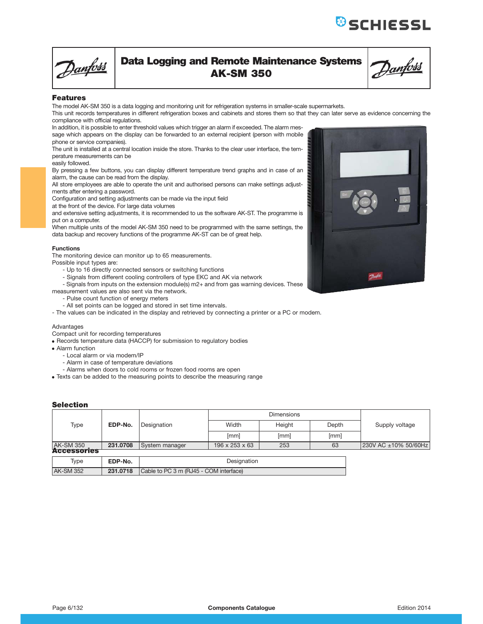**&**SCHIESSL



# **Data Logging and Remote Maintenance Systems AK-SM 350**

Danfoss

## **Features**

The model AK-SM 350 is a data logging and monitoring unit for refrigeration systems in smaller-scale supermarkets.

This unit records temperatures in different refrigeration boxes and cabinets and stores them so that they can later serve as evidence concerning the compliance with official regulations.

In addition, it is possible to enter threshold values which trigger an alarm if exceeded. The alarm message which appears on the display can be forwarded to an external recipient (person with mobile phone or service companies).

The unit is installed at a central location inside the store. Thanks to the clear user interface, the temperature measurements can be

easily followed.

By pressing a few buttons, you can display different temperature trend graphs and in case of an alarm, the cause can be read from the display.

All store employees are able to operate the unit and authorised persons can make settings adjustments after entering a password.

Configuration and setting adjustments can be made via the input field

at the front of the device. For large data volumes

and extensive setting adjustments, it is recommended to us the software AK-ST. The programme is put on a computer.

When multiple units of the model AK-SM 350 need to be programmed with the same settings, the data backup and recovery functions of the programme AK-ST can be of great help.

### **Functions**

The monitoring device can monitor up to 65 measurements.

Possible input types are:

- Up to 16 directly connected sensors or switching functions
- Signals from different cooling controllers of type EKC and AK via network

- Signals from inputs on the extension module(s) m2+ and from gas warning devices. These measurement values are also sent via the network.

- Pulse count function of energy meters
- All set points can be logged and stored in set time intervals.
- The values can be indicated in the display and retrieved by connecting a printer or a PC or modem.

### Advantages

Compact unit for recording temperatures

- Records temperature data (HACCP) for submission to regulatory bodies
- Alarm function
	- Local alarm or via modem/IP
	- Alarm in case of temperature deviations
	- Alarms when doors to cold rooms or frozen food rooms are open
- Texts can be added to the measuring points to describe the measuring range

## **Selection**

| Type               | EDP-No.  | Designation                            | Width          | Height | Depth | Supply voltage       |  |
|--------------------|----------|----------------------------------------|----------------|--------|-------|----------------------|--|
|                    |          |                                        | [mm]           | [mm]   | [mm]  |                      |  |
| <b>AK-SM 350</b>   | 231.0708 | System manager                         | 196 x 253 x 63 | 253    | 63    | 230V AC ±10% 50/60Hz |  |
| <b>Accessories</b> |          |                                        |                |        |       |                      |  |
| Type               | EDP-No.  | Designation                            |                |        |       |                      |  |
| <b>AK-SM 352</b>   | 231.0718 | Cable to PC 3 m (RJ45 - COM interface) |                |        |       |                      |  |

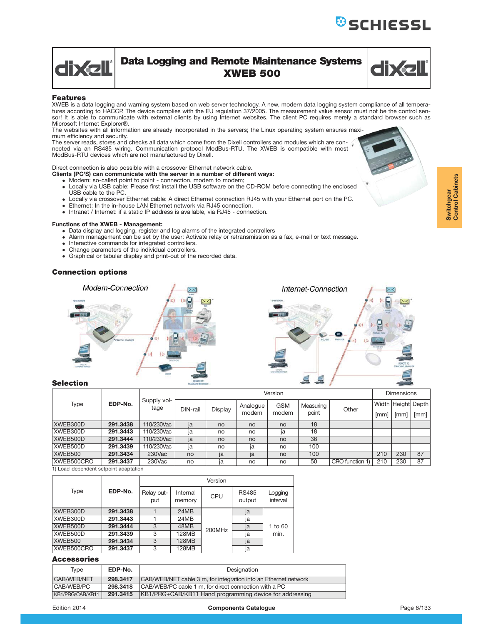

## **Data Logging and Remote Maintenance Systems XWEB 500**



## **Features**

XWEB is a data logging and warning system based on web server technology. A new, modern data logging system compliance of all temperatures according to HACCP. The device complies with the EU regulation 37/2005. The measurement value sensor must not be the control sensor! It is able to communicate with external clients by using Internet websites. The client PC requires merely a standard browser such as Microsoft Internet Explorer®.

The websites with all information are already incorporated in the servers; the Linux operating system ensures maximum efficiency and security.

The server reads, stores and checks all data which come from the Dixell controllers and modules which are con-nected via an RS485 wiring. Communication protocol ModBus-RTU. The XWEB is compatible with most ModBus-RTU devices which are not manufactured by Dixell.

## Direct connection is also possible with a crossover Ethernet network cable.

**Clients (PC'S) can communicate with the server in a number of different ways:**

- Modem: so-called point to point connection, modem to modem;
- Locally via USB cable: Please first install the USB software on the CD-ROM before connecting the enclosed USB cable to the PC.
- Locally via crossover Ethernet cable: A direct Ethernet connection RJ45 with your Ethernet port on the PC.
- Ethernet: In the in-house LAN Ethernet network via RJ45 connection.
- Intranet / Internet: if a static IP address is available, via RJ45 connection.

### **Functions of the XWEB - Management:**

- Data display and logging, register and log alarms of the integrated controllers
- Alarm management can be set by the user: Activate relay or retransmission as a fax, e-mail or text message.
- Interactive commands for integrated controllers.
- Change parameters of the individual controllers.
- Graphical or tabular display and print-out of the recorded data.

## **Connection options**



### **Selection**

| EDP-No.<br>Type |                     |            |         |          |            | Version   |       |                 | <b>Dimensions</b>  |     |      |  |
|-----------------|---------------------|------------|---------|----------|------------|-----------|-------|-----------------|--------------------|-----|------|--|
|                 | Supply vol-<br>tage | DIN-rail   | Display | Analogue | <b>GSM</b> | Measuring | Other |                 | Width Height Depth |     |      |  |
|                 |                     |            |         |          | modem      | modem     | point |                 | [mm]               | [mm | [mm] |  |
| XWEB300D        | 291.3438            | 110/230Vac | ja      | no       | no         | no        | 18    |                 |                    |     |      |  |
| XWEB300D        | 291.3443            | 110/230Vac | ja      | no       | no         | ja        | 18    |                 |                    |     |      |  |
| XWEB500D        | 291.3444            | 110/230Vac | ja      | no       | no         | no        | 36    |                 |                    |     |      |  |
| XWEB500D        | 291.3439            | 110/230Vac | ja      | no       | ja         | no        | 100   |                 |                    |     |      |  |
| XWEB500         | 291.3434            | $230$ Vac  | no      | ja       | ja         | no        | 100   |                 | 210                | 230 | 87   |  |
| XWEB500CRO      | 291.3437            | 230Vac     | no      | ia       | no         | no        | 50    | CRO function 1) | 210                | 230 | 87   |  |

1) Load-dependent setpoint adaptation

|            |          |                   |                    | Version |                        |                     |
|------------|----------|-------------------|--------------------|---------|------------------------|---------------------|
| Type       | EDP-No.  | Relay out-<br>put | Internal<br>memory | CPU     | <b>RS485</b><br>output | Logging<br>interval |
| XWEB300D   | 291.3438 |                   | 24MB               |         | ja                     |                     |
| XWEB300D   | 291.3443 |                   | 24MB               |         | ja                     |                     |
| XWEB500D   | 291.3444 | 3                 | 48MB               | 200MHz  | ja                     | 1 to 60             |
| XWEB500D   | 291.3439 | 3                 | 128MB              |         | ja                     | min.                |
| XWEB500    | 291.3434 | 3                 | <b>128MB</b>       |         | ja                     |                     |
| XWEB500CRO | 291.3437 | 3                 | 128MB              |         | ja                     |                     |

| Type             | EDP-No.  | Designation                                                     |
|------------------|----------|-----------------------------------------------------------------|
| CAB/WEB/NET      | 298.3417 | CAB/WEB/NET cable 3 m, for integration into an Ethernet network |
| CAB/WEB/PC       | 298.3418 | CAB/WEB/PC cable 1 m. for direct connection with a PC           |
| KB1/PRG/CAB/KB11 | 291.3415 | KB1/PRG+CAB/KB11 Hand programming device for addressing         |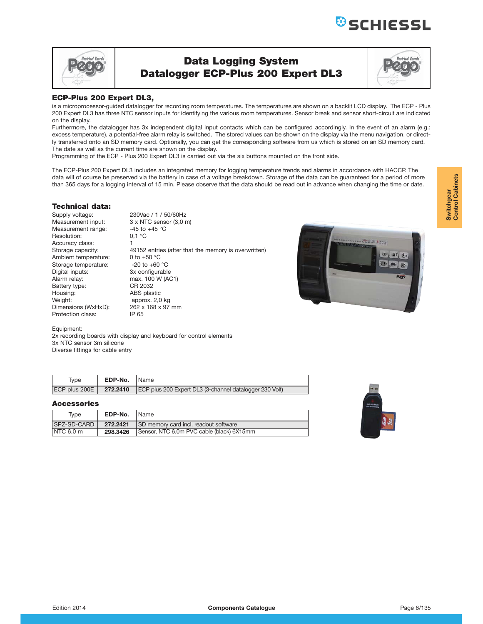

## **Data Logging System Datalogger ECP-Plus 200 Expert DL3**



## **ECP-Plus 200 Expert DL3.**

is a microprocessor-guided datalogger for recording room temperatures. The temperatures are shown on a backlit LCD display. The ECP - Plus 200 Expert DL3 has three NTC sensor inputs for identifying the various room temperatures. Sensor break and sensor short-circuit are indicated on the display.

Furthermore, the datalogger has 3x independent digital input contacts which can be configured accordingly. In the event of an alarm (e.g.: excess temperature), a potential-free alarm relay is switched. The stored values can be shown on the display via the menu navigation, or directly transferred onto an SD memory card. Optionally, you can get the corresponding software from us which is stored on an SD memory card. The date as well as the current time are shown on the display.

Programming of the ECP - Plus 200 Expert DL3 is carried out via the six buttons mounted on the front side.

The ECP-Plus 200 Expert DL3 includes an integrated memory for logging temperature trends and alarms in accordance with HACCP. The data will of course be preserved via the battery in case of a voltage breakdown. Storage of the data can be guaranteed for a period of more than 365 days for a logging interval of 15 min. Please observe that the data should be read out in advance when changing the time or date.

## **Technical data:**

Supply voltage: 230Vac / 1 / 50/60Hz<br>Measurement input: 3 x NTC sensor (3,0 r Measurement range:  $-45$  to<br>Resolution:  $0.1 \degree C$ Resolution: Accuracy class:<br>Storage capacity: Ambient temperature: 0 to +50 °C<br>Storage temperature: -20 to +60 °C Storage temperature:<br>Digital inputs: Digital inputs: 3x configurable<br>Alarm relay: max. 100 W (A) Battery type: Housing: ABS plastic Weight: approx. 2,0 kg Dimensions (WxHxD): 262 x 168 x 97 mm Protection class: IP 65

3 x NTC sensor (3,0 m)<br>-45 to +45  $^{\circ}$ C 49152 entries (after that the memory is overwritten) max. 100 W (AC1)<br>CR 2032



Equipment:

2x recording boards with display and keyboard for control elements 3x NTC sensor 3m silicone Diverse fittings for cable entry

| Type                     | <b>EDP-No.</b> Name |                                                         |
|--------------------------|---------------------|---------------------------------------------------------|
| ECP plus 200E   272.2410 |                     | ECP plus 200 Expert DL3 (3-channel datalogger 230 Volt) |

| Tvpe                 | EDP-No.  | l Name                                    |
|----------------------|----------|-------------------------------------------|
| <b>SPZ-SD-CARD</b>   | 272.2421 | SD memory card incl. readout software     |
| NTC <sub>6,0</sub> m | 298.3426 | Sensor, NTC 6,0m PVC cable (black) 6X15mm |

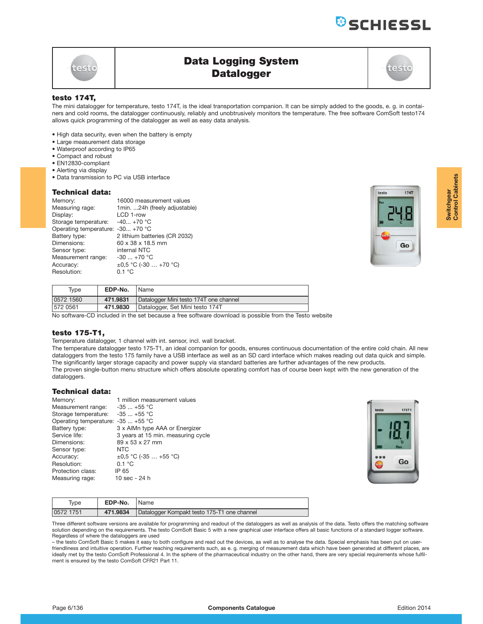

# **Data Logging System Datalogger**

## **testo 174T.**

The mini datalogger for temperature, testo 174T, is the ideal transportation companion. It can be simply added to the goods, e. g. in containers and cold rooms, the datalogger continuously, reliably and unobtrusively monitors the temperature. The free software ComSoft testo174 allows quick programming of the datalogger as well as easy data analysis.

- High data security, even when the battery is empty
- Large measurement data storage
- Waterproof according to IP65
- Compact and robust
- EN12830-compliant
- Alerting via display
- Data transmission to PC via USB interface

## **Technical data:**

| Memory:                           | 16000 measurement values      |
|-----------------------------------|-------------------------------|
| Measuring rage:                   | 1min. 24h (freely adjustable) |
| Display:                          | LCD 1-row                     |
| Storage temperature:              | $-40 + 70$ °C                 |
| Operating temperature: -30 +70 °C |                               |
| Battery type:                     | 2 lithium batteries (CR 2032) |
| Dimensions:                       | 60 x 38 x 18.5 mm             |
| Sensor type:                      | internal NTC                  |
| Measurement range:                | -30  +70 °C                   |
| Accuracy:                         | $\pm 0.5$ °C (-30  +70 °C)    |
| Resolution:                       | 0.1 °C                        |



| Tvpe      | EDP-No.  | Name                                   |
|-----------|----------|----------------------------------------|
| 0572 1560 | 471.9831 | Datalogger Mini testo 174T one channel |
| 572 0561  | 471.9830 | Datalogger, Set Mini testo 174T        |
|           |          |                                        |

No software-CD included in the set because a free software download is possible from the Testo website

## **testo 175-T1,**

Temperature datalogger, 1 channel with int. sensor, incl. wall bracket.

The temperature datalogger testo 175-T1, an ideal companion for goods, ensures continuous documentation of the entire cold chain. All new dataloggers from the testo 175 family have a USB interface as well as an SD card interface which makes reading out data quick and simple. The significantly larger storage capacity and power supply via standard batteries are further advantages of the new products. The proven single-button menu structure which offers absolute operating comfort has of course been kept with the new generation of the dataloggers.

### **Technical data:**

| Memory:                            | 1 million measurement values       |
|------------------------------------|------------------------------------|
| Measurement range:                 | $-35$ $+55$ °C                     |
| Storage temperature:               | $-35$ $+55$ °C                     |
| Operating temperature: -35  +55 °C |                                    |
| Battery type:                      | 3 x AlMn type AAA or Energizer     |
| Service life:                      | 3 years at 15 min. measuring cycle |
| Dimensions:                        | 89 x 53 x 27 mm                    |
| Sensor type:                       | <b>NTC</b>                         |
| Accuracy:                          | $\pm 0.5$ °C (-35  +55 °C)         |
| Resolution:                        | 0.1 °C                             |
| Protection class:                  | IP 65                              |
| Measuring rage:                    | 10 sec - 24 h                      |



| Type      | EDP-No.  | Name                                        |
|-----------|----------|---------------------------------------------|
| 0572 1751 | 471.9834 | Datalogger Kompakt testo 175-T1 one channel |

Three different software versions are available for programming and readout of the dataloggers as well as analysis of the data. Testo offers the matching software solution depending on the requirements. The testo ComSoft Basic 5 with a new graphical user interface offers all basic functions of a standard logger software. Regardless of where the dataloggers are used

– the testo ComSoft Basic 5 makes it easy to both configure and read out the devices, as well as to analyse the data. Special emphasis has been put on userfriendliness and intuitive operation. Further reaching requirements such, as e. g. merging of measurement data which have been generated at different places, are ideally met by the testo ComSoft Professional 4. In the sphere of the pharmaceutical industry on the other hand, there are very special requirements whose fulfilment is ensured by the testo ComSoft CFR21 Part 11.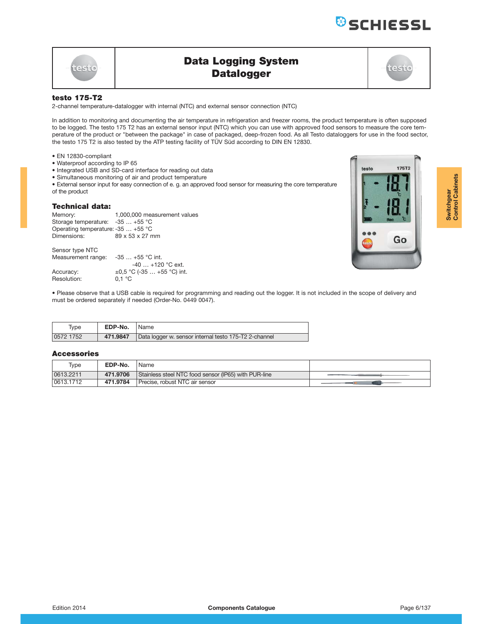# **Data Logging System Datalogger**

## **testo 175-T2**

testo

2-channel temperature-datalogger with internal (NTC) and external sensor connection (NTC)

In addition to monitoring and documenting the air temperature in refrigeration and freezer rooms, the product temperature is often supposed to be logged. The testo 175 T2 has an external sensor input (NTC) which you can use with approved food sensors to measure the core temperature of the product or "between the package" in case of packaged, deep-frozen food. As all Testo dataloggers for use in the food sector, the testo 175 T2 is also tested by the ATP testing facility of TÜV Süd according to DIN EN 12830.

- EN 12830-compliant
- Waterproof according to IP 65
- Integrated USB and SD-card interface for reading out data
- Simultaneous monitoring of air and product temperature
- External sensor input for easy connection of e. g. an approved food sensor for measuring the core temperature

of the product

### **Technical data:**

| Memory:<br>Storage temperature: $-35$ $+55$ °C<br>Operating temperature: -35  +55 °C | 1,000,000 measurement values             |
|--------------------------------------------------------------------------------------|------------------------------------------|
| Dimensions:                                                                          | 89 x 53 x 27 mm                          |
| Sensor type NTC<br>Measurement range:                                                | $-35$ $+55$ °C int.<br>$-40+120$ °C ext. |
| Accuracy:                                                                            | $\pm 0.5$ °C (-35  +55 °C) int.          |
| Resolution:                                                                          | 0.1 °C                                   |

• Please observe that a USB cable is required for programming and reading out the logger. It is not included in the scope of delivery and must be ordered separately if needed (Order-No. 0449 0047).

| Type      | <b>EDP-No.</b> | Name                                                  |
|-----------|----------------|-------------------------------------------------------|
| 0572 1752 | 471.9847       | Data logger w. sensor internal testo 175-T2 2-channel |

| Type      | EDP-No.  | Name                                                 |  |
|-----------|----------|------------------------------------------------------|--|
| 0613.2211 | 471.9706 | Stainless steel NTC food sensor (IP65) with PUR-line |  |
| 0613.1712 | 471.9784 | Precise, robust NTC air sensor                       |  |